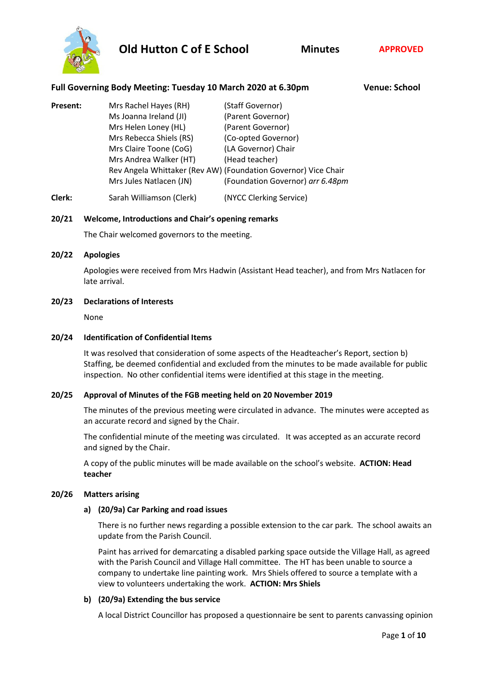

**Full Governing Body Meeting: Tuesday 10 March 2020 at 6.30pm Venue: School**

**Present:** Mrs Rachel Hayes (RH) (Staff Governor) Ms Joanna Ireland (JI) (Parent Governor) Mrs Helen Loney (HL) (Parent Governor) Mrs Rebecca Shiels (RS) (Co-opted Governor) Mrs Claire Toone (CoG) (LA Governor) Chair Mrs Andrea Walker (HT) (Head teacher) Rev Angela Whittaker (Rev AW) (Foundation Governor) Vice Chair Mrs Jules Natlacen (JN) (Foundation Governor) *arr 6.48pm*

**Clerk:** Sarah Williamson (Clerk) (NYCC Clerking Service)

## **20/21 Welcome, Introductions and Chair's opening remarks**

The Chair welcomed governors to the meeting.

**20/22 Apologies**

Apologies were received from Mrs Hadwin (Assistant Head teacher), and from Mrs Natlacen for late arrival.

### **20/23 Declarations of Interests**

None

#### **20/24 Identification of Confidential Items**

It was resolved that consideration of some aspects of the Headteacher's Report, section b) Staffing, be deemed confidential and excluded from the minutes to be made available for public inspection. No other confidential items were identified at this stage in the meeting.

### **20/25 Approval of Minutes of the FGB meeting held on 20 November 2019**

The minutes of the previous meeting were circulated in advance. The minutes were accepted as an accurate record and signed by the Chair.

The confidential minute of the meeting was circulated. It was accepted as an accurate record and signed by the Chair.

A copy of the public minutes will be made available on the school's website. **ACTION: Head teacher**

#### **20/26 Matters arising**

### **a) (20/9a) Car Parking and road issues**

There is no further news regarding a possible extension to the car park. The school awaits an update from the Parish Council.

Paint has arrived for demarcating a disabled parking space outside the Village Hall, as agreed with the Parish Council and Village Hall committee. The HT has been unable to source a company to undertake line painting work. Mrs Shiels offered to source a template with a view to volunteers undertaking the work. **ACTION: Mrs Shiels**

### **b) (20/9a) Extending the bus service**

A local District Councillor has proposed a questionnaire be sent to parents canvassing opinion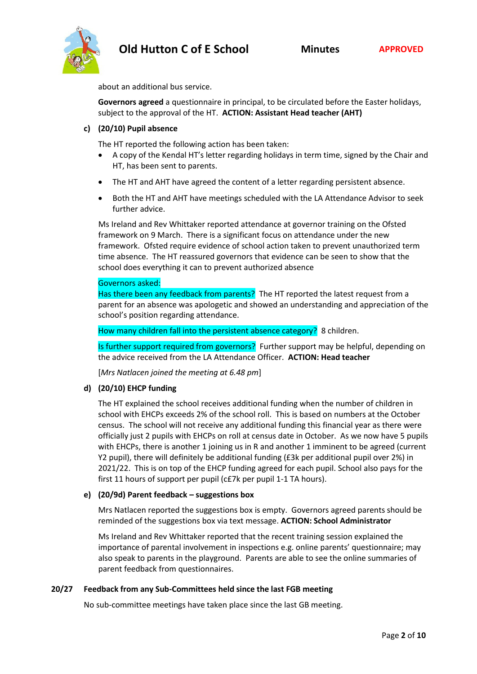

about an additional bus service.

**Governors agreed** a questionnaire in principal, to be circulated before the Easter holidays, subject to the approval of the HT. **ACTION: Assistant Head teacher (AHT)**

## **c) (20/10) Pupil absence**

The HT reported the following action has been taken:

- A copy of the Kendal HT's letter regarding holidays in term time, signed by the Chair and HT, has been sent to parents.
- The HT and AHT have agreed the content of a letter regarding persistent absence.
- Both the HT and AHT have meetings scheduled with the LA Attendance Advisor to seek further advice.

Ms Ireland and Rev Whittaker reported attendance at governor training on the Ofsted framework on 9 March. There is a significant focus on attendance under the new framework. Ofsted require evidence of school action taken to prevent unauthorized term time absence. The HT reassured governors that evidence can be seen to show that the school does everything it can to prevent authorized absence

### Governors asked:

Has there been any feedback from parents? The HT reported the latest request from a parent for an absence was apologetic and showed an understanding and appreciation of the school's position regarding attendance.

How many children fall into the persistent absence category? 8 children.

Is further support required from governors? Further support may be helpful, depending on the advice received from the LA Attendance Officer. **ACTION: Head teacher**

[*Mrs Natlacen joined the meeting at 6.48 pm*]

## **d) (20/10) EHCP funding**

The HT explained the school receives additional funding when the number of children in school with EHCPs exceeds 2% of the school roll. This is based on numbers at the October census. The school will not receive any additional funding this financial year as there were officially just 2 pupils with EHCPs on roll at census date in October. As we now have 5 pupils with EHCPs, there is another 1 joining us in R and another 1 imminent to be agreed (current Y2 pupil), there will definitely be additional funding (£3k per additional pupil over 2%) in 2021/22. This is on top of the EHCP funding agreed for each pupil. School also pays for the first 11 hours of support per pupil (c£7k per pupil 1-1 TA hours).

### **e) (20/9d) Parent feedback – suggestions box**

Mrs Natlacen reported the suggestions box is empty. Governors agreed parents should be reminded of the suggestions box via text message. **ACTION: School Administrator**

Ms Ireland and Rev Whittaker reported that the recent training session explained the importance of parental involvement in inspections e.g. online parents' questionnaire; may also speak to parents in the playground. Parents are able to see the online summaries of parent feedback from questionnaires.

### **20/27 Feedback from any Sub-Committees held since the last FGB meeting**

No sub-committee meetings have taken place since the last GB meeting.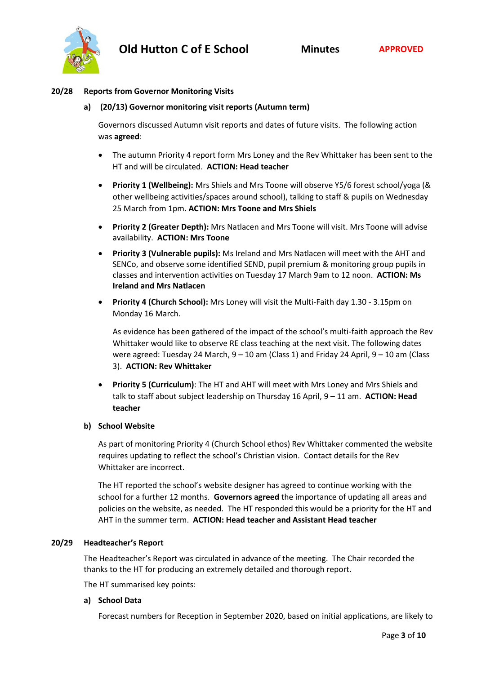

#### **20/28 Reports from Governor Monitoring Visits**

#### **a) (20/13) Governor monitoring visit reports (Autumn term)**

Governors discussed Autumn visit reports and dates of future visits. The following action was **agreed**:

- The autumn Priority 4 report form Mrs Loney and the Rev Whittaker has been sent to the HT and will be circulated. **ACTION: Head teacher**
- **Priority 1 (Wellbeing):** Mrs Shiels and Mrs Toone will observe Y5/6 forest school/yoga (& other wellbeing activities/spaces around school), talking to staff & pupils on Wednesday 25 March from 1pm. **ACTION: Mrs Toone and Mrs Shiels**
- **Priority 2 (Greater Depth):** Mrs Natlacen and Mrs Toone will visit. Mrs Toone will advise availability. **ACTION: Mrs Toone**
- **Priority 3 (Vulnerable pupils):** Ms Ireland and Mrs Natlacen will meet with the AHT and SENCo, and observe some identified SEND, pupil premium & monitoring group pupils in classes and intervention activities on Tuesday 17 March 9am to 12 noon. **ACTION: Ms Ireland and Mrs Natlacen**
- **Priority 4 (Church School):** Mrs Loney will visit the Multi-Faith day 1.30 3.15pm on Monday 16 March.

As evidence has been gathered of the impact of the school's multi-faith approach the Rev Whittaker would like to observe RE class teaching at the next visit. The following dates were agreed: Tuesday 24 March,  $9 - 10$  am (Class 1) and Friday 24 April,  $9 - 10$  am (Class 3). **ACTION: Rev Whittaker**

• **Priority 5 (Curriculum)**: The HT and AHT will meet with Mrs Loney and Mrs Shiels and talk to staff about subject leadership on Thursday 16 April, 9 – 11 am. **ACTION: Head teacher**

### **b) School Website**

As part of monitoring Priority 4 (Church School ethos) Rev Whittaker commented the website requires updating to reflect the school's Christian vision. Contact details for the Rev Whittaker are incorrect.

The HT reported the school's website designer has agreed to continue working with the school for a further 12 months. **Governors agreed** the importance of updating all areas and policies on the website, as needed. The HT responded this would be a priority for the HT and AHT in the summer term. **ACTION: Head teacher and Assistant Head teacher**

### **20/29 Headteacher's Report**

The Headteacher's Report was circulated in advance of the meeting. The Chair recorded the thanks to the HT for producing an extremely detailed and thorough report.

The HT summarised key points:

#### **a) School Data**

Forecast numbers for Reception in September 2020, based on initial applications, are likely to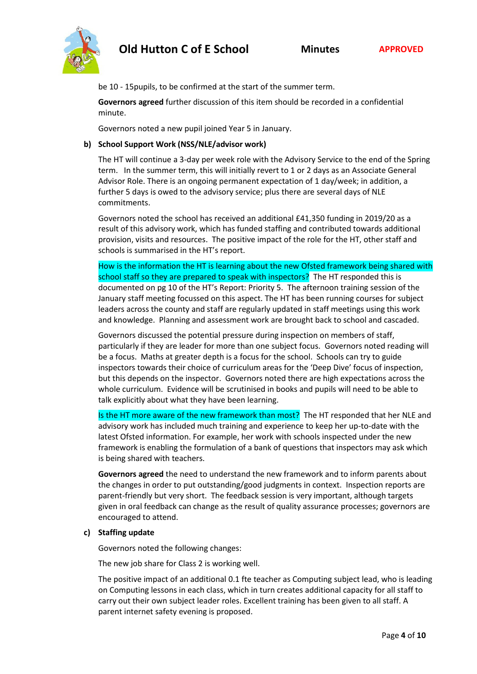be 10 - 15pupils, to be confirmed at the start of the summer term.

**Governors agreed** further discussion of this item should be recorded in a confidential minute.

Governors noted a new pupil joined Year 5 in January.

## **b) School Support Work (NSS/NLE/advisor work)**

The HT will continue a 3-day per week role with the Advisory Service to the end of the Spring term. In the summer term, this will initially revert to 1 or 2 days as an Associate General Advisor Role. There is an ongoing permanent expectation of 1 day/week; in addition, a further 5 days is owed to the advisory service; plus there are several days of NLE commitments.

Governors noted the school has received an additional £41,350 funding in 2019/20 as a result of this advisory work, which has funded staffing and contributed towards additional provision, visits and resources. The positive impact of the role for the HT, other staff and schools is summarised in the HT's report.

How is the information the HT is learning about the new Ofsted framework being shared with school staff so they are prepared to speak with inspectors? The HT responded this is documented on pg 10 of the HT's Report: Priority 5. The afternoon training session of the January staff meeting focussed on this aspect. The HT has been running courses for subject leaders across the county and staff are regularly updated in staff meetings using this work and knowledge. Planning and assessment work are brought back to school and cascaded.

Governors discussed the potential pressure during inspection on members of staff, particularly if they are leader for more than one subject focus. Governors noted reading will be a focus. Maths at greater depth is a focus for the school. Schools can try to guide inspectors towards their choice of curriculum areas for the 'Deep Dive' focus of inspection, but this depends on the inspector. Governors noted there are high expectations across the whole curriculum. Evidence will be scrutinised in books and pupils will need to be able to talk explicitly about what they have been learning.

Is the HT more aware of the new framework than most? The HT responded that her NLE and advisory work has included much training and experience to keep her up-to-date with the latest Ofsted information. For example, her work with schools inspected under the new framework is enabling the formulation of a bank of questions that inspectors may ask which is being shared with teachers.

**Governors agreed** the need to understand the new framework and to inform parents about the changes in order to put outstanding/good judgments in context. Inspection reports are parent-friendly but very short. The feedback session is very important, although targets given in oral feedback can change as the result of quality assurance processes; governors are encouraged to attend.

### **c) Staffing update**

Governors noted the following changes:

The new job share for Class 2 is working well.

The positive impact of an additional 0.1 fte teacher as Computing subject lead, who is leading on Computing lessons in each class, which in turn creates additional capacity for all staff to carry out their own subject leader roles. Excellent training has been given to all staff. A parent internet safety evening is proposed.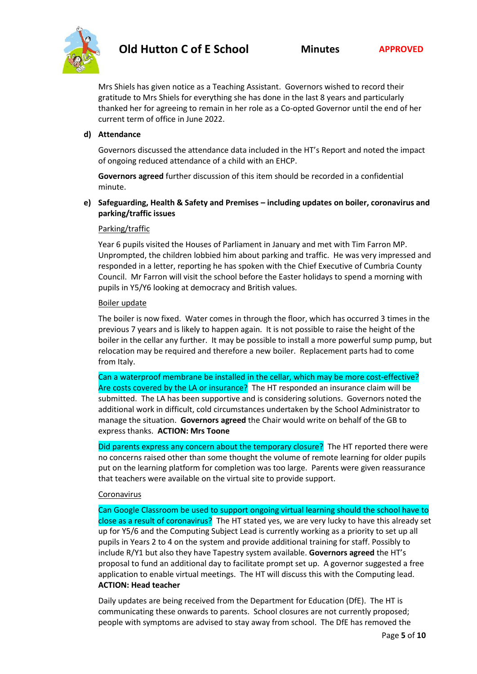

Mrs Shiels has given notice as a Teaching Assistant. Governors wished to record their gratitude to Mrs Shiels for everything she has done in the last 8 years and particularly thanked her for agreeing to remain in her role as a Co-opted Governor until the end of her current term of office in June 2022.

#### **d) Attendance**

Governors discussed the attendance data included in the HT's Report and noted the impact of ongoing reduced attendance of a child with an EHCP.

**Governors agreed** further discussion of this item should be recorded in a confidential minute.

## **e) Safeguarding, Health & Safety and Premises – including updates on boiler, coronavirus and parking/traffic issues**

#### Parking/traffic

Year 6 pupils visited the Houses of Parliament in January and met with Tim Farron MP. Unprompted, the children lobbied him about parking and traffic. He was very impressed and responded in a letter, reporting he has spoken with the Chief Executive of Cumbria County Council. Mr Farron will visit the school before the Easter holidays to spend a morning with pupils in Y5/Y6 looking at democracy and British values.

#### Boiler update

The boiler is now fixed. Water comes in through the floor, which has occurred 3 times in the previous 7 years and is likely to happen again. It is not possible to raise the height of the boiler in the cellar any further. It may be possible to install a more powerful sump pump, but relocation may be required and therefore a new boiler. Replacement parts had to come from Italy.

Can a waterproof membrane be installed in the cellar, which may be more cost-effective? Are costs covered by the LA or insurance? The HT responded an insurance claim will be submitted. The LA has been supportive and is considering solutions. Governors noted the additional work in difficult, cold circumstances undertaken by the School Administrator to manage the situation. **Governors agreed** the Chair would write on behalf of the GB to express thanks. **ACTION: Mrs Toone**

Did parents express any concern about the temporary closure? The HT reported there were no concerns raised other than some thought the volume of remote learning for older pupils put on the learning platform for completion was too large. Parents were given reassurance that teachers were available on the virtual site to provide support.

#### Coronavirus

Can Google Classroom be used to support ongoing virtual learning should the school have to close as a result of coronavirus? The HT stated yes, we are very lucky to have this already set up for Y5/6 and the Computing Subject Lead is currently working as a priority to set up all pupils in Years 2 to 4 on the system and provide additional training for staff. Possibly to include R/Y1 but also they have Tapestry system available. **Governors agreed** the HT's proposal to fund an additional day to facilitate prompt set up. A governor suggested a free application to enable virtual meetings. The HT will discuss this with the Computing lead. **ACTION: Head teacher**

Daily updates are being received from the Department for Education (DfE). The HT is communicating these onwards to parents. School closures are not currently proposed; people with symptoms are advised to stay away from school. The DfE has removed the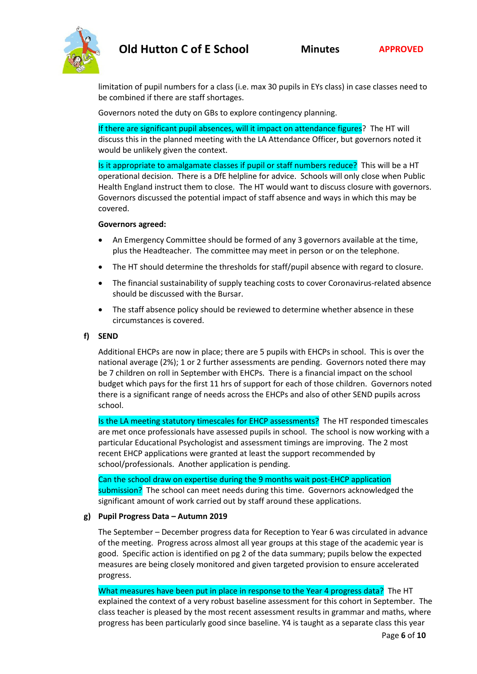

limitation of pupil numbers for a class (i.e. max 30 pupils in EYs class) in case classes need to be combined if there are staff shortages.

Governors noted the duty on GBs to explore contingency planning.

If there are significant pupil absences, will it impact on attendance figures? The HT will discuss this in the planned meeting with the LA Attendance Officer, but governors noted it would be unlikely given the context.

Is it appropriate to amalgamate classes if pupil or staff numbers reduce? This will be a HT operational decision. There is a DfE helpline for advice. Schools will only close when Public Health England instruct them to close. The HT would want to discuss closure with governors. Governors discussed the potential impact of staff absence and ways in which this may be covered.

### **Governors agreed:**

- An Emergency Committee should be formed of any 3 governors available at the time, plus the Headteacher. The committee may meet in person or on the telephone.
- The HT should determine the thresholds for staff/pupil absence with regard to closure.
- The financial sustainability of supply teaching costs to cover Coronavirus-related absence should be discussed with the Bursar.
- The staff absence policy should be reviewed to determine whether absence in these circumstances is covered.

## **f) SEND**

Additional EHCPs are now in place; there are 5 pupils with EHCPs in school. This is over the national average (2%); 1 or 2 further assessments are pending. Governors noted there may be 7 children on roll in September with EHCPs. There is a financial impact on the school budget which pays for the first 11 hrs of support for each of those children. Governors noted there is a significant range of needs across the EHCPs and also of other SEND pupils across school.

Is the LA meeting statutory timescales for EHCP assessments? The HT responded timescales are met once professionals have assessed pupils in school. The school is now working with a particular Educational Psychologist and assessment timings are improving. The 2 most recent EHCP applications were granted at least the support recommended by school/professionals. Another application is pending.

Can the school draw on expertise during the 9 months wait post-EHCP application submission? The school can meet needs during this time. Governors acknowledged the significant amount of work carried out by staff around these applications.

### **g) Pupil Progress Data – Autumn 2019**

The September – December progress data for Reception to Year 6 was circulated in advance of the meeting. Progress across almost all year groups at this stage of the academic year is good. Specific action is identified on pg 2 of the data summary; pupils below the expected measures are being closely monitored and given targeted provision to ensure accelerated progress.

What measures have been put in place in response to the Year 4 progress data? The HT explained the context of a very robust baseline assessment for this cohort in September. The class teacher is pleased by the most recent assessment results in grammar and maths, where progress has been particularly good since baseline. Y4 is taught as a separate class this year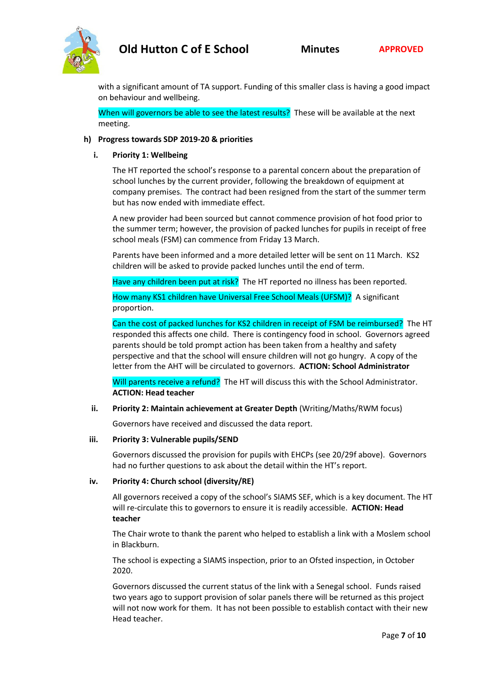

with a significant amount of TA support. Funding of this smaller class is having a good impact on behaviour and wellbeing.

When will governors be able to see the latest results? These will be available at the next meeting.

## **h) Progress towards SDP 2019-20 & priorities**

### **i. Priority 1: Wellbeing**

The HT reported the school's response to a parental concern about the preparation of school lunches by the current provider, following the breakdown of equipment at company premises. The contract had been resigned from the start of the summer term but has now ended with immediate effect.

A new provider had been sourced but cannot commence provision of hot food prior to the summer term; however, the provision of packed lunches for pupils in receipt of free school meals (FSM) can commence from Friday 13 March.

Parents have been informed and a more detailed letter will be sent on 11 March. KS2 children will be asked to provide packed lunches until the end of term.

Have any children been put at risk? The HT reported no illness has been reported.

How many KS1 children have Universal Free School Meals (UFSM)? A significant proportion.

Can the cost of packed lunches for KS2 children in receipt of FSM be reimbursed? The HT responded this affects one child. There is contingency food in school. Governors agreed parents should be told prompt action has been taken from a healthy and safety perspective and that the school will ensure children will not go hungry. A copy of the letter from the AHT will be circulated to governors. **ACTION: School Administrator**

Will parents receive a refund? The HT will discuss this with the School Administrator. **ACTION: Head teacher**

## **ii. Priority 2: Maintain achievement at Greater Depth** (Writing/Maths/RWM focus)

Governors have received and discussed the data report.

#### **iii. Priority 3: Vulnerable pupils/SEND**

Governors discussed the provision for pupils with EHCPs (see 20/29f above). Governors had no further questions to ask about the detail within the HT's report.

### **iv. Priority 4: Church school (diversity/RE)**

All governors received a copy of the school's SIAMS SEF, which is a key document. The HT will re-circulate this to governors to ensure it is readily accessible. **ACTION: Head teacher**

The Chair wrote to thank the parent who helped to establish a link with a Moslem school in Blackburn.

The school is expecting a SIAMS inspection, prior to an Ofsted inspection, in October 2020.

Governors discussed the current status of the link with a Senegal school. Funds raised two years ago to support provision of solar panels there will be returned as this project will not now work for them. It has not been possible to establish contact with their new Head teacher.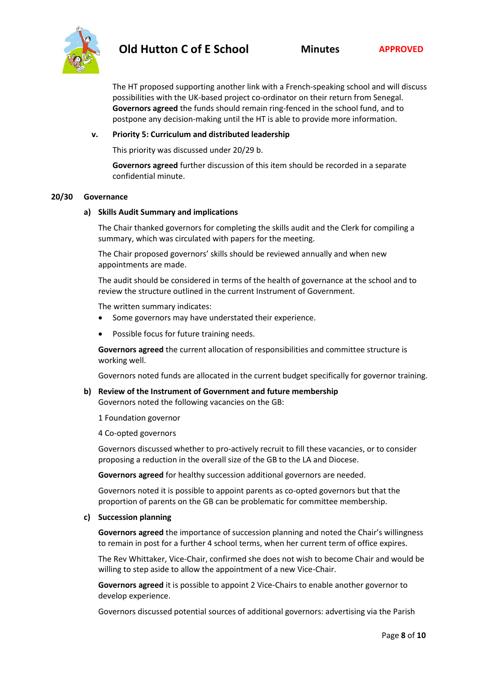

The HT proposed supporting another link with a French-speaking school and will discuss possibilities with the UK-based project co-ordinator on their return from Senegal. **Governors agreed** the funds should remain ring-fenced in the school fund, and to postpone any decision-making until the HT is able to provide more information.

#### **v. Priority 5: Curriculum and distributed leadership**

This priority was discussed under 20/29 b.

**Governors agreed** further discussion of this item should be recorded in a separate confidential minute.

#### **20/30 Governance**

#### **a) Skills Audit Summary and implications**

The Chair thanked governors for completing the skills audit and the Clerk for compiling a summary, which was circulated with papers for the meeting.

The Chair proposed governors' skills should be reviewed annually and when new appointments are made.

The audit should be considered in terms of the health of governance at the school and to review the structure outlined in the current Instrument of Government.

The written summary indicates:

- Some governors may have understated their experience.
- Possible focus for future training needs.

**Governors agreed** the current allocation of responsibilities and committee structure is working well.

Governors noted funds are allocated in the current budget specifically for governor training.

**b) Review of the Instrument of Government and future membership** Governors noted the following vacancies on the GB:

1 Foundation governor

4 Co-opted governors

Governors discussed whether to pro-actively recruit to fill these vacancies, or to consider proposing a reduction in the overall size of the GB to the LA and Diocese.

**Governors agreed** for healthy succession additional governors are needed.

Governors noted it is possible to appoint parents as co-opted governors but that the proportion of parents on the GB can be problematic for committee membership.

#### **c) Succession planning**

**Governors agreed** the importance of succession planning and noted the Chair's willingness to remain in post for a further 4 school terms, when her current term of office expires.

The Rev Whittaker, Vice-Chair, confirmed she does not wish to become Chair and would be willing to step aside to allow the appointment of a new Vice-Chair.

**Governors agreed** it is possible to appoint 2 Vice-Chairs to enable another governor to develop experience.

Governors discussed potential sources of additional governors: advertising via the Parish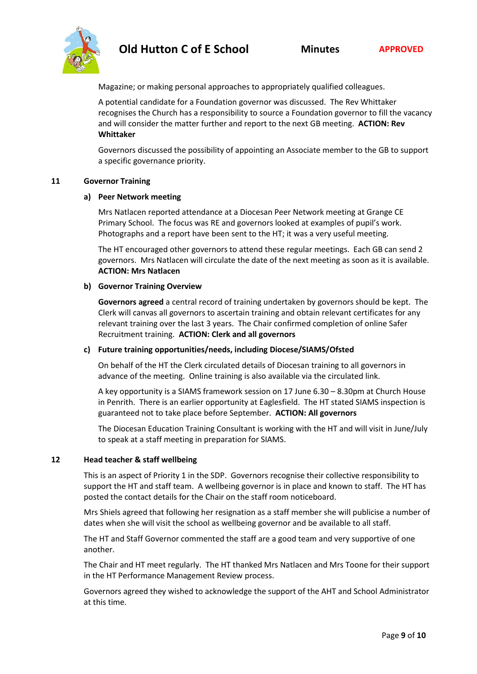

Magazine; or making personal approaches to appropriately qualified colleagues.

A potential candidate for a Foundation governor was discussed. The Rev Whittaker recognises the Church has a responsibility to source a Foundation governor to fill the vacancy and will consider the matter further and report to the next GB meeting. **ACTION: Rev Whittaker**

Governors discussed the possibility of appointing an Associate member to the GB to support a specific governance priority.

#### **11 Governor Training**

#### **a) Peer Network meeting**

Mrs Natlacen reported attendance at a Diocesan Peer Network meeting at Grange CE Primary School. The focus was RE and governors looked at examples of pupil's work. Photographs and a report have been sent to the HT; it was a very useful meeting.

The HT encouraged other governors to attend these regular meetings. Each GB can send 2 governors. Mrs Natlacen will circulate the date of the next meeting as soon as it is available. **ACTION: Mrs Natlacen**

### **b) Governor Training Overview**

**Governors agreed** a central record of training undertaken by governors should be kept. The Clerk will canvas all governors to ascertain training and obtain relevant certificates for any relevant training over the last 3 years. The Chair confirmed completion of online Safer Recruitment training. **ACTION: Clerk and all governors**

### **c) Future training opportunities/needs, including Diocese/SIAMS/Ofsted**

On behalf of the HT the Clerk circulated details of Diocesan training to all governors in advance of the meeting. Online training is also available via the circulated link.

A key opportunity is a SIAMS framework session on 17 June 6.30 – 8.30pm at Church House in Penrith. There is an earlier opportunity at Eaglesfield. The HT stated SIAMS inspection is guaranteed not to take place before September. **ACTION: All governors**

The Diocesan Education Training Consultant is working with the HT and will visit in June/July to speak at a staff meeting in preparation for SIAMS.

#### **12 Head teacher & staff wellbeing**

This is an aspect of Priority 1 in the SDP. Governors recognise their collective responsibility to support the HT and staff team. A wellbeing governor is in place and known to staff. The HT has posted the contact details for the Chair on the staff room noticeboard.

Mrs Shiels agreed that following her resignation as a staff member she will publicise a number of dates when she will visit the school as wellbeing governor and be available to all staff.

The HT and Staff Governor commented the staff are a good team and very supportive of one another.

The Chair and HT meet regularly. The HT thanked Mrs Natlacen and Mrs Toone for their support in the HT Performance Management Review process.

Governors agreed they wished to acknowledge the support of the AHT and School Administrator at this time.